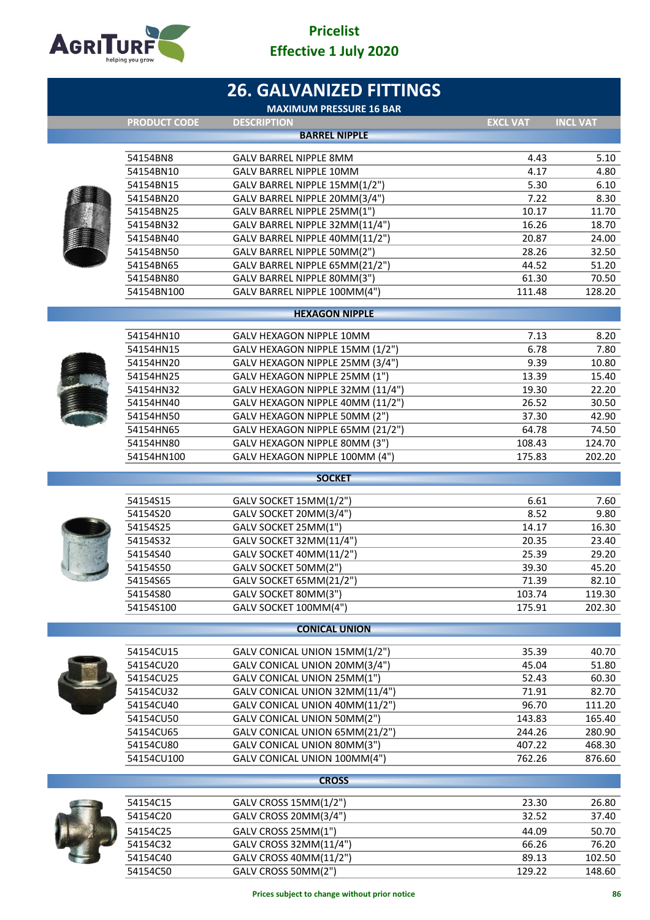

|                        | <b>26. GALVANIZED FITTINGS</b><br><b>MAXIMUM PRESSURE 16 BAR</b>  |                 |                 |
|------------------------|-------------------------------------------------------------------|-----------------|-----------------|
| <b>PRODUCT CODE</b>    | <b>DESCRIPTION</b>                                                | <b>EXCL VAT</b> | <b>INCL VAT</b> |
|                        | <b>BARREL NIPPLE</b>                                              |                 |                 |
| 54154BN8               | <b>GALV BARREL NIPPLE 8MM</b>                                     | 4.43            | 5.10            |
| 54154BN10              | <b>GALV BARREL NIPPLE 10MM</b>                                    | 4.17            | 4.80            |
| 54154BN15              | GALV BARREL NIPPLE 15MM(1/2")                                     | 5.30            | 6.10            |
| 54154BN20              | GALV BARREL NIPPLE 20MM(3/4")                                     | 7.22            | 8.30            |
| 54154BN25              | GALV BARREL NIPPLE 25MM(1")                                       | 10.17           | 11.70           |
| 54154BN32              | GALV BARREL NIPPLE 32MM(11/4")                                    | 16.26           | 18.70           |
| 54154BN40              | GALV BARREL NIPPLE 40MM(11/2")                                    | 20.87           | 24.00           |
| 54154BN50              | GALV BARREL NIPPLE 50MM(2")                                       | 28.26           | 32.50           |
| 54154BN65              | GALV BARREL NIPPLE 65MM(21/2")                                    | 44.52           | 51.20           |
| 54154BN80              | GALV BARREL NIPPLE 80MM(3")                                       | 61.30           | 70.50           |
| 54154BN100             | GALV BARREL NIPPLE 100MM(4")                                      | 111.48          | 128.20          |
|                        | <b>HEXAGON NIPPLE</b>                                             |                 |                 |
|                        |                                                                   |                 |                 |
| 54154HN10              | GALV HEXAGON NIPPLE 10MM                                          | 7.13            | 8.20            |
| 54154HN15              | GALV HEXAGON NIPPLE 15MM (1/2")                                   | 6.78            | 7.80            |
| 54154HN20<br>54154HN25 | GALV HEXAGON NIPPLE 25MM (3/4")                                   | 9.39<br>13.39   | 10.80           |
| 54154HN32              | GALV HEXAGON NIPPLE 25MM (1")<br>GALV HEXAGON NIPPLE 32MM (11/4") | 19.30           | 15.40<br>22.20  |
| 54154HN40              | GALV HEXAGON NIPPLE 40MM (11/2")                                  | 26.52           | 30.50           |
| 54154HN50              | GALV HEXAGON NIPPLE 50MM (2")                                     | 37.30           | 42.90           |
| 54154HN65              | GALV HEXAGON NIPPLE 65MM (21/2")                                  | 64.78           | 74.50           |
| 54154HN80              | GALV HEXAGON NIPPLE 80MM (3")                                     | 108.43          | 124.70          |
| 54154HN100             | GALV HEXAGON NIPPLE 100MM (4")                                    | 175.83          | 202.20          |
|                        | <b>SOCKET</b>                                                     |                 |                 |
|                        |                                                                   |                 |                 |
| 54154S15               | GALV SOCKET 15MM(1/2")                                            | 6.61            | 7.60            |
| 54154S20               | GALV SOCKET 20MM(3/4")                                            | 8.52            | 9.80            |
| 54154S25               | GALV SOCKET 25MM(1")                                              | 14.17           | 16.30           |
| 54154S32               | GALV SOCKET 32MM(11/4")                                           | 20.35           | 23.40           |
| 54154S40               | GALV SOCKET 40MM(11/2")                                           | 25.39           | 29.20           |
| 54154S50               | GALV SOCKET 50MM(2")                                              | 39.30           | 45.20           |
| 54154S65<br>54154S80   | GALV SOCKET 65MM(21/2")<br>GALV SOCKET 80MM(3")                   | 71.39<br>103.74 | 82.10<br>119.30 |
| 54154S100              | GALV SOCKET 100MM(4")                                             | 175.91          | 202.30          |
|                        |                                                                   |                 |                 |
|                        | <b>CONICAL UNION</b>                                              |                 |                 |
| 54154CU15              | GALV CONICAL UNION 15MM(1/2")                                     | 35.39           | 40.70           |
| 54154CU20              | GALV CONICAL UNION 20MM(3/4")                                     | 45.04           | 51.80           |
| 54154CU25              | GALV CONICAL UNION 25MM(1")                                       | 52.43           | 60.30           |
| 54154CU32              | GALV CONICAL UNION 32MM(11/4")                                    | 71.91           | 82.70           |
| 54154CU40              | GALV CONICAL UNION 40MM(11/2")                                    | 96.70           | 111.20          |
| 54154CU50              | GALV CONICAL UNION 50MM(2")                                       | 143.83          | 165.40          |
| 54154CU65              | GALV CONICAL UNION 65MM(21/2")                                    | 244.26          | 280.90          |
| 54154CU80              | GALV CONICAL UNION 80MM(3")                                       | 407.22          | 468.30          |
| 54154CU100             | GALV CONICAL UNION 100MM(4")                                      | 762.26          | 876.60          |
|                        | <b>CROSS</b>                                                      |                 |                 |
| 54154C15               | GALV CROSS 15MM(1/2")                                             | 23.30           | 26.80           |
| 54154C20               | GALV CROSS 20MM(3/4")                                             | 32.52           | 37.40           |
| 54154C25               | GALV CROSS 25MM(1")                                               | 44.09           | 50.70           |
| 54154C32               | GALV CROSS 32MM(11/4")                                            | 66.26           | 76.20           |
| 54154C40               | GALV CROSS 40MM(11/2")                                            | 89.13           | 102.50          |
| 54154C50               | GALV CROSS 50MM(2")                                               | 129.22          | 148.60          |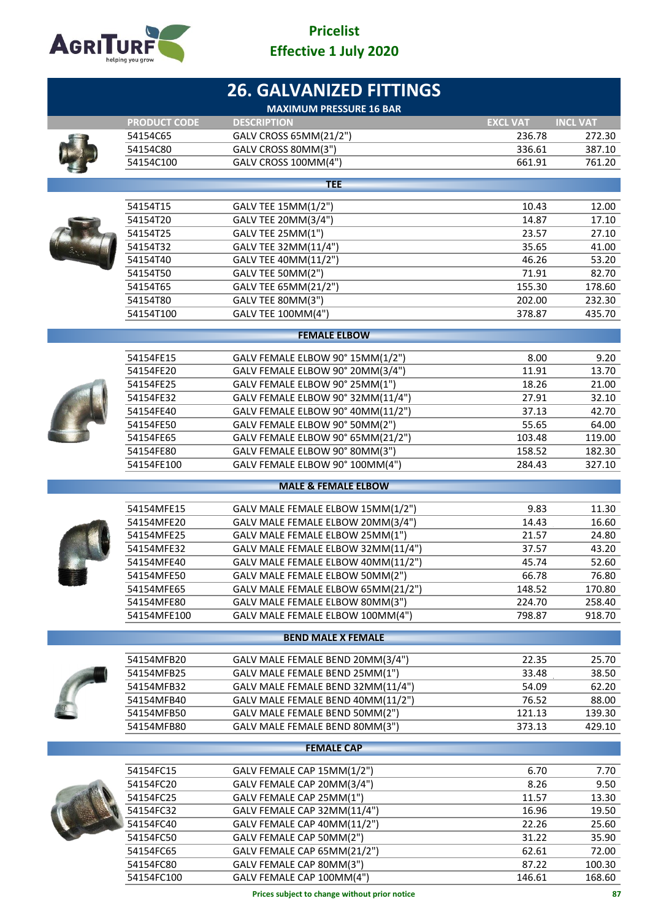

|  |                          | <b>26. GALVANIZED FITTINGS</b><br><b>MAXIMUM PRESSURE 16 BAR</b> |                  |                  |
|--|--------------------------|------------------------------------------------------------------|------------------|------------------|
|  | <b>PRODUCT CODE</b>      | <b>DESCRIPTION</b>                                               | <b>EXCL VAT</b>  | <b>INCL VAT</b>  |
|  | 54154C65                 | GALV CROSS 65MM(21/2")                                           | 236.78           | 272.30           |
|  | 54154C80                 | GALV CROSS 80MM(3")                                              | 336.61           | 387.10           |
|  | 54154C100                | GALV CROSS 100MM(4")                                             | 661.91           | 761.20           |
|  |                          | <b>TEE</b>                                                       |                  |                  |
|  | 54154T15                 | GALV TEE 15MM(1/2")                                              | 10.43            | 12.00            |
|  | 54154T20                 | GALV TEE 20MM(3/4")                                              | 14.87            | 17.10            |
|  | 54154T25                 | GALV TEE 25MM(1")                                                | 23.57            | 27.10            |
|  | 54154T32                 | GALV TEE 32MM(11/4")                                             | 35.65            | 41.00            |
|  | 54154T40                 | GALV TEE 40MM(11/2")                                             | 46.26            | 53.20            |
|  | 54154T50                 | GALV TEE 50MM(2")                                                | 71.91            | 82.70            |
|  | 54154T65                 | GALV TEE 65MM(21/2")                                             | 155.30           | 178.60           |
|  | 54154T80                 | GALV TEE 80MM(3")                                                | 202.00           | 232.30           |
|  | 54154T100                | GALV TEE 100MM(4")                                               | 378.87           | 435.70           |
|  |                          | <b>FEMALE ELBOW</b>                                              |                  |                  |
|  | 54154FE15                | GALV FEMALE ELBOW 90° 15MM(1/2")                                 | 8.00             | 9.20             |
|  | 54154FE20                | GALV FEMALE ELBOW 90° 20MM(3/4")                                 | 11.91            | 13.70            |
|  | 54154FE25                | GALV FEMALE ELBOW 90° 25MM(1")                                   | 18.26            | 21.00            |
|  | 54154FE32                | GALV FEMALE ELBOW 90° 32MM(11/4")                                | 27.91            | 32.10            |
|  | 54154FE40                | GALV FEMALE ELBOW 90° 40MM(11/2")                                | 37.13            | 42.70            |
|  | 54154FE50                | GALV FEMALE ELBOW 90° 50MM(2")                                   | 55.65            | 64.00            |
|  | 54154FE65                | GALV FEMALE ELBOW 90° 65MM(21/2")                                | 103.48           | 119.00           |
|  | 54154FE80                | GALV FEMALE ELBOW 90° 80MM(3")                                   | 158.52           | 182.30           |
|  | 54154FE100               | GALV FEMALE ELBOW 90° 100MM(4")                                  | 284.43           | 327.10           |
|  |                          | <b>MALE &amp; FEMALE ELBOW</b>                                   |                  |                  |
|  | 54154MFE15               | GALV MALE FEMALE ELBOW 15MM(1/2")                                | 9.83             | 11.30            |
|  | 54154MFE20               | GALV MALE FEMALE ELBOW 20MM(3/4")                                | 14.43            | 16.60            |
|  | 54154MFE25               | GALV MALE FEMALE ELBOW 25MM(1")                                  | 21.57            | 24.80            |
|  | 54154MFE32               | GALV MALE FEMALE ELBOW 32MM(11/4")                               | 37.57            | 43.20            |
|  | 54154MFE40               | GALV MALE FEMALE ELBOW 40MM(11/2")                               | 45.74            | 52.60            |
|  | 54154MFE50               | GALV MALE FEMALE ELBOW 50MM(2")                                  | 66.78            | 76.80            |
|  | 54154MFE65               | GALV MALE FEMALE ELBOW 65MM(21/2")                               | 148.52           | 170.80           |
|  | 54154MFE80               | GALV MALE FEMALE ELBOW 80MM(3")                                  | 224.70           | 258.40           |
|  | 54154MFE100              | GALV MALE FEMALE ELBOW 100MM(4")                                 | 798.87           | 918.70           |
|  |                          | <b>BEND MALE X FEMALE</b>                                        |                  |                  |
|  |                          |                                                                  |                  |                  |
|  | 54154MFB20               | GALV MALE FEMALE BEND 20MM(3/4")                                 | 22.35            | 25.70            |
|  | 54154MFB25               | GALV MALE FEMALE BEND 25MM(1")                                   | 33.48            | 38.50            |
|  | 54154MFB32               | GALV MALE FEMALE BEND 32MM(11/4")                                | 54.09            | 62.20            |
|  | 54154MFB40               | GALV MALE FEMALE BEND 40MM(11/2")                                | 76.52            | 88.00            |
|  | 54154MFB50<br>54154MFB80 | GALV MALE FEMALE BEND 50MM(2")<br>GALV MALE FEMALE BEND 80MM(3") | 121.13<br>373.13 | 139.30<br>429.10 |
|  |                          |                                                                  |                  |                  |
|  |                          | <b>FEMALE CAP</b>                                                |                  |                  |
|  | 54154FC15                | GALV FEMALE CAP 15MM(1/2")                                       | 6.70             | 7.70             |
|  | 54154FC20                | GALV FEMALE CAP 20MM(3/4")                                       | 8.26             | 9.50             |
|  | 54154FC25                | GALV FEMALE CAP 25MM(1")                                         | 11.57            | 13.30            |
|  | 54154FC32                | GALV FEMALE CAP 32MM(11/4")                                      | 16.96            | 19.50            |
|  | 54154FC40                | GALV FEMALE CAP 40MM(11/2")                                      | 22.26            | 25.60            |
|  | 54154FC50                | GALV FEMALE CAP 50MM(2")                                         | 31.22            | 35.90            |
|  | 54154FC65                | GALV FEMALE CAP 65MM(21/2")                                      | 62.61            | 72.00            |
|  | 54154FC80                | GALV FEMALE CAP 80MM(3")                                         | 87.22            | 100.30           |

54154FC100 GALV FEMALE CAP 100MM(4") 146.61 168.60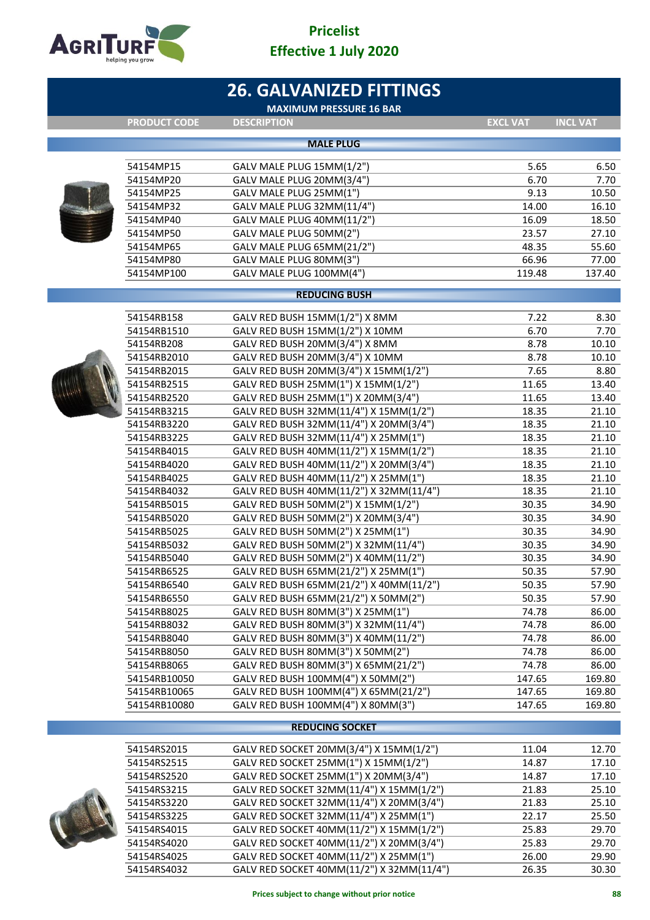

|  |                            | <b>26. GALVANIZED FITTINGS</b><br><b>MAXIMUM PRESSURE 16 BAR</b>                 |                 |                 |
|--|----------------------------|----------------------------------------------------------------------------------|-----------------|-----------------|
|  | <b>PRODUCT CODE</b>        | <b>DESCRIPTION</b>                                                               | <b>EXCL VAT</b> | <b>INCL VAT</b> |
|  |                            | <b>MALE PLUG</b>                                                                 |                 |                 |
|  |                            |                                                                                  |                 |                 |
|  | 54154MP15                  | GALV MALE PLUG 15MM(1/2")                                                        | 5.65            | 6.50            |
|  | 54154MP20                  | GALV MALE PLUG 20MM(3/4")                                                        | 6.70            | 7.70            |
|  | 54154MP25                  | GALV MALE PLUG 25MM(1")                                                          | 9.13            | 10.50           |
|  | 54154MP32                  | GALV MALE PLUG 32MM(11/4")                                                       | 14.00           | 16.10           |
|  | 54154MP40                  | GALV MALE PLUG 40MM(11/2")                                                       | 16.09           | 18.50           |
|  | 54154MP50                  | GALV MALE PLUG 50MM(2")                                                          | 23.57           | 27.10           |
|  | 54154MP65                  | GALV MALE PLUG 65MM(21/2")                                                       | 48.35           | 55.60           |
|  | 54154MP80                  | GALV MALE PLUG 80MM(3")                                                          | 66.96           | 77.00           |
|  | 54154MP100                 | GALV MALE PLUG 100MM(4")                                                         | 119.48          | 137.40          |
|  |                            | <b>REDUCING BUSH</b>                                                             |                 |                 |
|  |                            | GALV RED BUSH 15MM(1/2") X 8MM                                                   | 7.22            |                 |
|  | 54154RB158<br>54154RB1510  |                                                                                  | 6.70            | 8.30<br>7.70    |
|  | 54154RB208                 | GALV RED BUSH 15MM(1/2") X 10MM<br>GALV RED BUSH 20MM(3/4") X 8MM                | 8.78            | 10.10           |
|  |                            | GALV RED BUSH 20MM(3/4") X 10MM                                                  | 8.78            |                 |
|  | 54154RB2010<br>54154RB2015 |                                                                                  | 7.65            | 10.10           |
|  | 54154RB2515                | GALV RED BUSH 20MM(3/4") X 15MM(1/2")<br>GALV RED BUSH 25MM(1") X 15MM(1/2")     | 11.65           | 8.80<br>13.40   |
|  |                            |                                                                                  | 11.65           |                 |
|  | 54154RB2520                | GALV RED BUSH 25MM(1") X 20MM(3/4")                                              | 18.35           | 13.40           |
|  | 54154RB3215<br>54154RB3220 | GALV RED BUSH 32MM(11/4") X 15MM(1/2")<br>GALV RED BUSH 32MM(11/4") X 20MM(3/4") | 18.35           | 21.10<br>21.10  |
|  | 54154RB3225                | GALV RED BUSH 32MM(11/4") X 25MM(1")                                             | 18.35           | 21.10           |
|  | 54154RB4015                | GALV RED BUSH 40MM(11/2") X 15MM(1/2")                                           | 18.35           | 21.10           |
|  | 54154RB4020                | GALV RED BUSH 40MM(11/2") X 20MM(3/4")                                           | 18.35           | 21.10           |
|  | 54154RB4025                | GALV RED BUSH 40MM(11/2") X 25MM(1")                                             | 18.35           | 21.10           |
|  | 54154RB4032                | GALV RED BUSH 40MM(11/2") X 32MM(11/4")                                          | 18.35           | 21.10           |
|  | 54154RB5015                | GALV RED BUSH 50MM(2") X 15MM(1/2")                                              | 30.35           | 34.90           |
|  | 54154RB5020                | GALV RED BUSH 50MM(2") X 20MM(3/4")                                              | 30.35           | 34.90           |
|  | 54154RB5025                | GALV RED BUSH 50MM(2") X 25MM(1")                                                | 30.35           | 34.90           |
|  | 54154RB5032                | GALV RED BUSH 50MM(2") X 32MM(11/4")                                             | 30.35           | 34.90           |
|  | 54154RB5040                | GALV RED BUSH 50MM(2") X 40MM(11/2")                                             | 30.35           | 34.90           |
|  | 54154RB6525                | GALV RED BUSH 65MM(21/2") X 25MM(1")                                             | 50.35           | 57.90           |
|  | 54154RB6540                | GALV RED BUSH 65MM(21/2") X 40MM(11/2")                                          | 50.35           | 57.90           |
|  | 54154RB6550                | GALV RED BUSH 65MM(21/2") X 50MM(2")                                             | 50.35           | 57.90           |
|  | 54154RB8025                | GALV RED BUSH 80MM(3") X 25MM(1")                                                | 74.78           | 86.00           |
|  | 54154RB8032                | GALV RED BUSH 80MM(3") X 32MM(11/4")                                             | 74.78           | 86.00           |
|  | 54154RB8040                | GALV RED BUSH 80MM(3") X 40MM(11/2")                                             | 74.78           | 86.00           |
|  | 54154RB8050                | GALV RED BUSH 80MM(3") X 50MM(2")                                                | 74.78           | 86.00           |
|  | 54154RB8065                | GALV RED BUSH 80MM(3") X 65MM(21/2")                                             | 74.78           | 86.00           |
|  | 54154RB10050               | GALV RED BUSH 100MM(4") X 50MM(2")                                               | 147.65          | 169.80          |
|  | 54154RB10065               | GALV RED BUSH 100MM(4") X 65MM(21/2")                                            | 147.65          | 169.80          |
|  | 54154RB10080               | GALV RED BUSH 100MM(4") X 80MM(3")                                               | 147.65          | 169.80          |
|  |                            | <b>REDUCING SOCKET</b>                                                           |                 |                 |
|  |                            |                                                                                  |                 |                 |
|  | 54154RS2015                | GALV RED SOCKET 20MM(3/4") X 15MM(1/2")                                          | 11.04           | 12.70           |
|  | 54154RS2515                | GALV RED SOCKET 25MM(1") X 15MM(1/2")                                            | 14.87           | 17.10           |

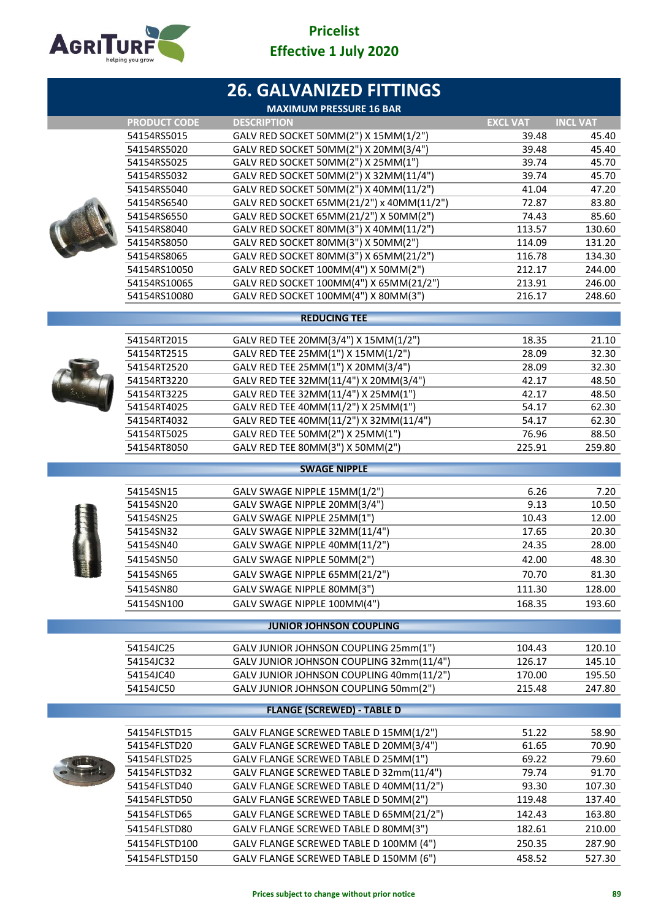

|      |                              | <b>26. GALVANIZED FITTINGS</b>                                                  |                  |                  |
|------|------------------------------|---------------------------------------------------------------------------------|------------------|------------------|
|      |                              | <b>MAXIMUM PRESSURE 16 BAR</b>                                                  |                  |                  |
|      | <b>PRODUCT CODE</b>          | <b>DESCRIPTION</b>                                                              | <b>EXCL VAT</b>  | <b>INCL VAT</b>  |
|      | 54154RS5015                  | GALV RED SOCKET 50MM(2") X 15MM(1/2")                                           | 39.48            | 45.40            |
|      | 54154RS5020                  | GALV RED SOCKET 50MM(2") X 20MM(3/4")                                           | 39.48            | 45.40            |
|      | 54154RS5025                  | GALV RED SOCKET 50MM(2") X 25MM(1")                                             | 39.74            | 45.70            |
|      | 54154RS5032                  | GALV RED SOCKET 50MM(2") X 32MM(11/4")                                          | 39.74            | 45.70            |
|      | 54154RS5040                  | GALV RED SOCKET 50MM(2") X 40MM(11/2")                                          | 41.04            | 47.20            |
|      | 54154RS6540                  | GALV RED SOCKET 65MM(21/2") x 40MM(11/2")                                       | 72.87            | 83.80            |
|      | 54154RS6550                  | GALV RED SOCKET 65MM(21/2") X 50MM(2")                                          | 74.43            | 85.60            |
|      | 54154RS8040                  | GALV RED SOCKET 80MM(3") X 40MM(11/2")                                          | 113.57           | 130.60           |
|      | 54154RS8050                  | GALV RED SOCKET 80MM(3") X 50MM(2")                                             | 114.09           | 131.20<br>134.30 |
|      | 54154RS8065                  | GALV RED SOCKET 80MM(3") X 65MM(21/2")                                          | 116.78           | 244.00           |
|      | 54154RS10050<br>54154RS10065 | GALV RED SOCKET 100MM(4") X 50MM(2")<br>GALV RED SOCKET 100MM(4") X 65MM(21/2") | 212.17<br>213.91 | 246.00           |
|      | 54154RS10080                 | GALV RED SOCKET 100MM(4") X 80MM(3")                                            | 216.17           | 248.60           |
|      |                              |                                                                                 |                  |                  |
|      |                              | <b>REDUCING TEE</b>                                                             |                  |                  |
|      | 54154RT2015                  | GALV RED TEE 20MM(3/4") X 15MM(1/2")                                            | 18.35            | 21.10            |
|      | 54154RT2515                  | GALV RED TEE 25MM(1") X 15MM(1/2")                                              | 28.09            | 32.30            |
|      | 54154RT2520                  | GALV RED TEE 25MM(1") X 20MM(3/4")                                              | 28.09            | 32.30            |
|      | 54154RT3220                  | GALV RED TEE 32MM(11/4") X 20MM(3/4")                                           | 42.17            | 48.50            |
|      | 54154RT3225                  | GALV RED TEE 32MM(11/4") X 25MM(1")                                             | 42.17            | 48.50            |
|      | 54154RT4025                  | GALV RED TEE 40MM(11/2") X 25MM(1")                                             | 54.17            | 62.30            |
|      | 54154RT4032                  | GALV RED TEE 40MM(11/2") X 32MM(11/4")                                          | 54.17            | 62.30            |
|      | 54154RT5025                  | GALV RED TEE 50MM(2") X 25MM(1")                                                | 76.96            | 88.50            |
|      | 54154RT8050                  | GALV RED TEE 80MM(3") X 50MM(2")                                                | 225.91           | 259.80           |
|      |                              | <b>SWAGE NIPPLE</b>                                                             |                  |                  |
|      | 54154SN15                    | GALV SWAGE NIPPLE 15MM(1/2")                                                    | 6.26             | 7.20             |
|      | 54154SN20                    | GALV SWAGE NIPPLE 20MM(3/4")                                                    | 9.13             | 10.50            |
|      | 54154SN25                    | GALV SWAGE NIPPLE 25MM(1")                                                      | 10.43            | 12.00            |
|      | 54154SN32                    | GALV SWAGE NIPPLE 32MM(11/4")                                                   | 17.65            | 20.30            |
|      | 54154SN40                    | GALV SWAGE NIPPLE 40MM(11/2")                                                   | 24.35            | 28.00            |
|      | 54154SN50                    | GALV SWAGE NIPPLE 50MM(2")                                                      | 42.00            | 48.30            |
| EU D | 54154SN65                    | GALV SWAGE NIPPLE 65MM(21/2")                                                   | 70.70            | 81.30            |
|      | 54154SN80                    | GALV SWAGE NIPPLE 80MM(3")                                                      | 111.30           | 128.00           |
|      | 54154SN100                   | GALV SWAGE NIPPLE 100MM(4")                                                     | 168.35           | 193.60           |
|      |                              |                                                                                 |                  |                  |
|      |                              | <b>JUNIOR JOHNSON COUPLING</b>                                                  |                  |                  |
|      | 54154JC25                    | GALV JUNIOR JOHNSON COUPLING 25mm(1")                                           | 104.43           | 120.10           |
|      | 54154JC32                    | GALV JUNIOR JOHNSON COUPLING 32mm(11/4")                                        | 126.17           | 145.10           |
|      | 54154JC40                    | GALV JUNIOR JOHNSON COUPLING 40mm(11/2")                                        | 170.00           | 195.50           |
|      | 54154JC50                    | GALV JUNIOR JOHNSON COUPLING 50mm(2")                                           | 215.48           | 247.80           |
|      |                              | <b>FLANGE (SCREWED) - TABLE D</b>                                               |                  |                  |
|      | 54154FLSTD15                 | GALV FLANGE SCREWED TABLE D 15MM(1/2")                                          | 51.22            | 58.90            |
|      | 54154FLSTD20                 | GALV FLANGE SCREWED TABLE D 20MM(3/4")                                          | 61.65            | 70.90            |
|      | 54154FLSTD25                 | GALV FLANGE SCREWED TABLE D 25MM(1")                                            | 69.22            | 79.60            |
|      | 54154FLSTD32                 | GALV FLANGE SCREWED TABLE D 32mm(11/4")                                         | 79.74            | 91.70            |
|      | 54154FLSTD40                 | GALV FLANGE SCREWED TABLE D 40MM(11/2")                                         | 93.30            | 107.30           |
|      | 54154FLSTD50                 | GALV FLANGE SCREWED TABLE D 50MM(2")                                            | 119.48           | 137.40           |
|      | 54154FLSTD65                 | GALV FLANGE SCREWED TABLE D 65MM(21/2")                                         | 142.43           | 163.80           |
|      | 54154FLSTD80                 | GALV FLANGE SCREWED TABLE D 80MM(3")                                            | 182.61           | 210.00           |
|      | 54154FLSTD100                | GALV FLANGE SCREWED TABLE D 100MM (4")                                          | 250.35           | 287.90           |
|      | 54154FLSTD150                | GALV FLANGE SCREWED TABLE D 150MM (6")                                          | 458.52           | 527.30           |
|      |                              |                                                                                 |                  |                  |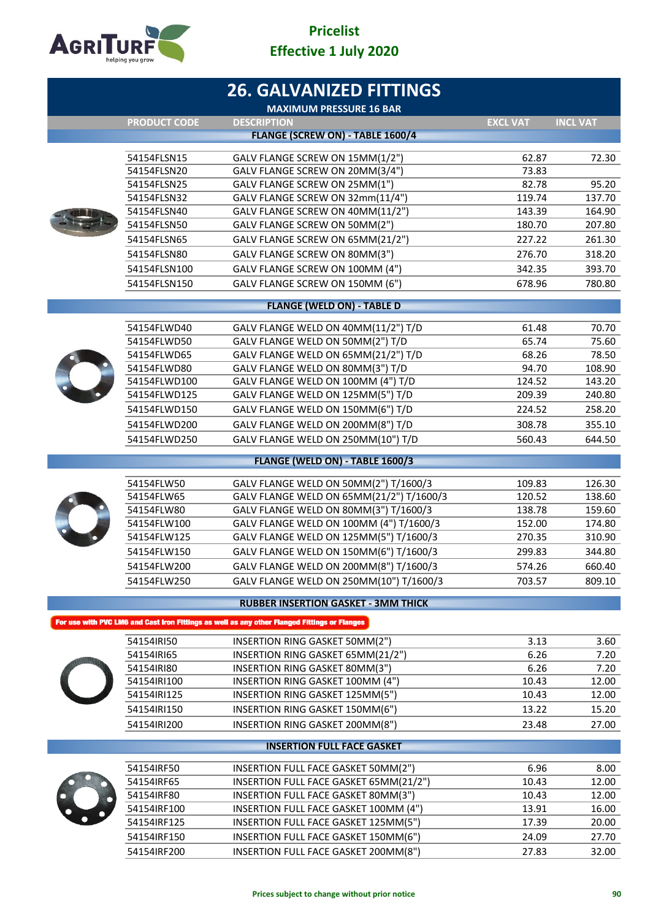

|                            | <b>26. GALVANIZED FITTINGS</b>                                                               |                 |                 |
|----------------------------|----------------------------------------------------------------------------------------------|-----------------|-----------------|
| <b>PRODUCT CODE</b>        | <b>MAXIMUM PRESSURE 16 BAR</b><br><b>DESCRIPTION</b>                                         | <b>EXCL VAT</b> | <b>INCL VAT</b> |
|                            | FLANGE (SCREW ON) - TABLE 1600/4                                                             |                 |                 |
|                            |                                                                                              |                 |                 |
| 54154FLSN15                | GALV FLANGE SCREW ON 15MM(1/2")                                                              | 62.87           | 72.30           |
| 54154FLSN20<br>54154FLSN25 | GALV FLANGE SCREW ON 20MM(3/4")<br>GALV FLANGE SCREW ON 25MM(1")                             | 73.83<br>82.78  | 95.20           |
| 54154FLSN32                | GALV FLANGE SCREW ON 32mm(11/4")                                                             | 119.74          | 137.70          |
| 54154FLSN40                | GALV FLANGE SCREW ON 40MM(11/2")                                                             | 143.39          | 164.90          |
| 54154FLSN50                | GALV FLANGE SCREW ON 50MM(2")                                                                | 180.70          | 207.80          |
| 54154FLSN65                | GALV FLANGE SCREW ON 65MM(21/2")                                                             | 227.22          | 261.30          |
| 54154FLSN80                | GALV FLANGE SCREW ON 80MM(3")                                                                | 276.70          | 318.20          |
| 54154FLSN100               | GALV FLANGE SCREW ON 100MM (4")                                                              | 342.35          | 393.70          |
| 54154FLSN150               | GALV FLANGE SCREW ON 150MM (6")                                                              | 678.96          | 780.80          |
|                            |                                                                                              |                 |                 |
|                            | <b>FLANGE (WELD ON) - TABLE D</b>                                                            |                 |                 |
| 54154FLWD40                | GALV FLANGE WELD ON 40MM(11/2") T/D                                                          | 61.48           | 70.70           |
| 54154FLWD50                | GALV FLANGE WELD ON 50MM(2") T/D                                                             | 65.74           | 75.60           |
| 54154FLWD65                | GALV FLANGE WELD ON 65MM(21/2") T/D                                                          | 68.26           | 78.50           |
| 54154FLWD80                | GALV FLANGE WELD ON 80MM(3") T/D                                                             | 94.70           | 108.90          |
| 54154FLWD100               | GALV FLANGE WELD ON 100MM (4") T/D                                                           | 124.52          | 143.20          |
| 54154FLWD125               | GALV FLANGE WELD ON 125MM(5") T/D                                                            | 209.39          | 240.80          |
| 54154FLWD150               | GALV FLANGE WELD ON 150MM(6") T/D                                                            | 224.52          | 258.20          |
| 54154FLWD200               | GALV FLANGE WELD ON 200MM(8") T/D                                                            | 308.78          | 355.10          |
| 54154FLWD250               | GALV FLANGE WELD ON 250MM(10") T/D                                                           | 560.43          | 644.50          |
|                            | FLANGE (WELD ON) - TABLE 1600/3                                                              |                 |                 |
| 54154FLW50                 | GALV FLANGE WELD ON 50MM(2") T/1600/3                                                        | 109.83          | 126.30          |
| 54154FLW65                 | GALV FLANGE WELD ON 65MM(21/2") T/1600/3                                                     | 120.52          | 138.60          |
| 54154FLW80                 | GALV FLANGE WELD ON 80MM(3") T/1600/3                                                        | 138.78          | 159.60          |
| 54154FLW100                | GALV FLANGE WELD ON 100MM (4") T/1600/3                                                      | 152.00          | 174.80          |
| 54154FLW125                | GALV FLANGE WELD ON 125MM(5") T/1600/3                                                       | 270.35          | 310.90          |
| 54154FLW150                | GALV FLANGE WELD ON 150MM(6") T/1600/3                                                       | 299.83          | 344.80          |
| 54154FLW200                | GALV FLANGE WELD ON 200MM(8") T/1600/3                                                       | 574.26          | 660.40          |
| 54154FLW250                | GALV FLANGE WELD ON 250MM(10") T/1600/3                                                      | 703.57          | 809.10          |
|                            | <b>RUBBER INSERTION GASKET - 3MM THICK</b>                                                   |                 |                 |
|                            | For use with PVC LM6 and Cast Iron Fittings as well as any other Flanged Fittings or Flanges |                 |                 |
| 54154IRI50                 | INSERTION RING GASKET 50MM(2")                                                               | 3.13            | 3.60            |
| 54154IRI65                 | INSERTION RING GASKET 65MM(21/2")                                                            | 6.26            | 7.20            |
| 54154IRI80                 | INSERTION RING GASKET 80MM(3")                                                               | 6.26            | 7.20            |
| 54154IRI100                | INSERTION RING GASKET 100MM (4")                                                             | 10.43           | 12.00           |
| 54154IRI125                | INSERTION RING GASKET 125MM(5")                                                              | 10.43           | 12.00           |
| 54154IRI150                | INSERTION RING GASKET 150MM(6")                                                              | 13.22           | 15.20           |
| 54154IRI200                | INSERTION RING GASKET 200MM(8")                                                              | 23.48           | 27.00           |
|                            | <b>INSERTION FULL FACE GASKET</b>                                                            |                 |                 |
| 54154IRF50                 | INSERTION FULL FACE GASKET 50MM(2")                                                          | 6.96            | 8.00            |
| 54154IRF65                 | INSERTION FULL FACE GASKET 65MM(21/2")                                                       | 10.43           | 12.00           |
| 54154IRF80                 | INSERTION FULL FACE GASKET 80MM(3")                                                          | 10.43           | 12.00           |
| 54154IRF100                | INSERTION FULL FACE GASKET 100MM (4")                                                        | 13.91           | 16.00           |
| 54154IRF125                | INSERTION FULL FACE GASKET 125MM(5")                                                         | 17.39           | 20.00           |
| 54154IRF150                | INSERTION FULL FACE GASKET 150MM(6")                                                         | 24.09           | 27.70           |
| 54154IRF200                | INSERTION FULL FACE GASKET 200MM(8")                                                         | 27.83           | 32.00           |